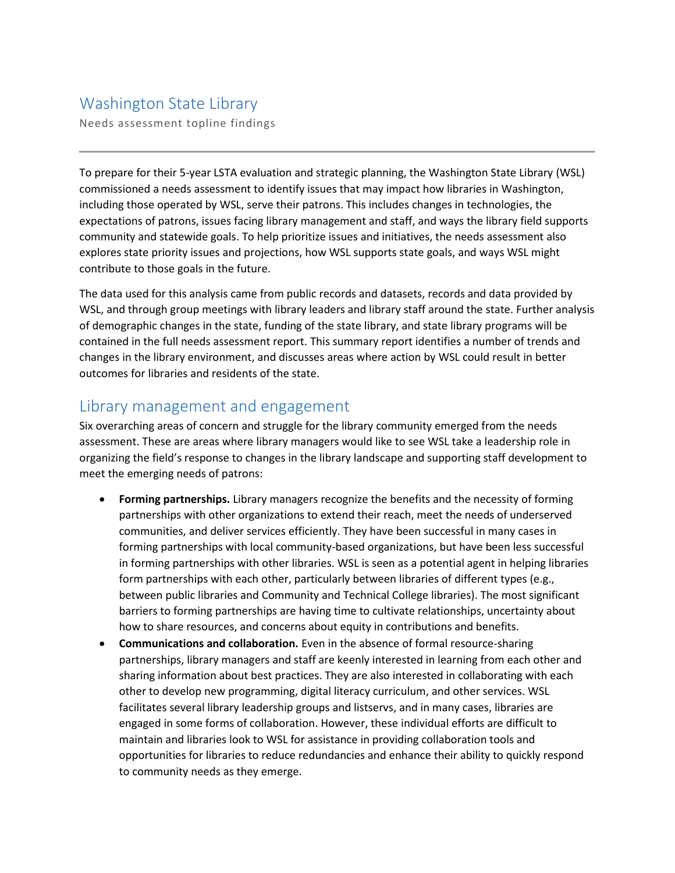## Washington State Library

Needs assessment topline findings

To prepare for their 5-year LSTA evaluation and strategic planning, the Washington State Library (WSL) commissioned a needs assessment to identify issues that may impact how libraries in Washington, including those operated by WSL, serve their patrons. This includes changes in technologies, the expectations of patrons, issues facing library management and staff, and ways the library field supports community and statewide goals. To help prioritize issues and initiatives, the needs assessment also explores state priority issues and projections, how WSL supports state goals, and ways WSL might contribute to those goals in the future.

The data used for this analysis came from public records and datasets, records and data provided by WSL, and through group meetings with library leaders and library staff around the state. Further analysis of demographic changes in the state, funding of the state library, and state library programs will be contained in the full needs assessment report. This summary report identifies a number of trends and changes in the library environment, and discusses areas where action by WSL could result in better outcomes for libraries and residents of the state.

### Library management and engagement

Six overarching areas of concern and struggle for the library community emerged from the needs assessment. These are areas where library managers would like to see WSL take a leadership role in organizing the field's response to changes in the library landscape and supporting staff development to meet the emerging needs of patrons:

- **Forming partnerships.** Library managers recognize the benefits and the necessity of forming partnerships with other organizations to extend their reach, meet the needs of underserved communities, and deliver services efficiently. They have been successful in many cases in forming partnerships with local community-based organizations, but have been less successful in forming partnerships with other libraries. WSL is seen as a potential agent in helping libraries form partnerships with each other, particularly between libraries of different types (e.g., between public libraries and Community and Technical College libraries). The most significant barriers to forming partnerships are having time to cultivate relationships, uncertainty about how to share resources, and concerns about equity in contributions and benefits.
- **Communications and collaboration.** Even in the absence of formal resource-sharing partnerships, library managers and staff are keenly interested in learning from each other and sharing information about best practices. They are also interested in collaborating with each other to develop new programming, digital literacy curriculum, and other services. WSL facilitates several library leadership groups and listservs, and in many cases, libraries are engaged in some forms of collaboration. However, these individual efforts are difficult to maintain and libraries look to WSL for assistance in providing collaboration tools and opportunities for libraries to reduce redundancies and enhance their ability to quickly respond to community needs as they emerge.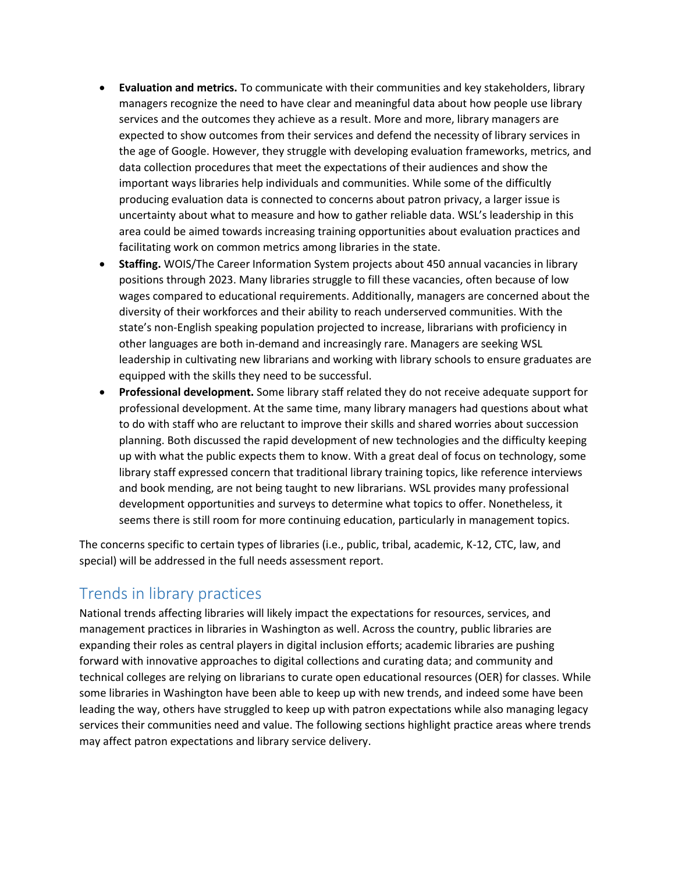- **Evaluation and metrics.** To communicate with their communities and key stakeholders, library managers recognize the need to have clear and meaningful data about how people use library services and the outcomes they achieve as a result. More and more, library managers are expected to show outcomes from their services and defend the necessity of library services in the age of Google. However, they struggle with developing evaluation frameworks, metrics, and data collection procedures that meet the expectations of their audiences and show the important ways libraries help individuals and communities. While some of the difficultly producing evaluation data is connected to concerns about patron privacy, a larger issue is uncertainty about what to measure and how to gather reliable data. WSL's leadership in this area could be aimed towards increasing training opportunities about evaluation practices and facilitating work on common metrics among libraries in the state.
- **Staffing.** WOIS/The Career Information System projects about 450 annual vacancies in library positions through 2023. Many libraries struggle to fill these vacancies, often because of low wages compared to educational requirements. Additionally, managers are concerned about the diversity of their workforces and their ability to reach underserved communities. With the state's non-English speaking population projected to increase, librarians with proficiency in other languages are both in-demand and increasingly rare. Managers are seeking WSL leadership in cultivating new librarians and working with library schools to ensure graduates are equipped with the skills they need to be successful.
- **Professional development.** Some library staff related they do not receive adequate support for professional development. At the same time, many library managers had questions about what to do with staff who are reluctant to improve their skills and shared worries about succession planning. Both discussed the rapid development of new technologies and the difficulty keeping up with what the public expects them to know. With a great deal of focus on technology, some library staff expressed concern that traditional library training topics, like reference interviews and book mending, are not being taught to new librarians. WSL provides many professional development opportunities and surveys to determine what topics to offer. Nonetheless, it seems there is still room for more continuing education, particularly in management topics.

The concerns specific to certain types of libraries (i.e., public, tribal, academic, K-12, CTC, law, and special) will be addressed in the full needs assessment report.

# Trends in library practices

National trends affecting libraries will likely impact the expectations for resources, services, and management practices in libraries in Washington as well. Across the country, public libraries are expanding their roles as central players in digital inclusion efforts; academic libraries are pushing forward with innovative approaches to digital collections and curating data; and community and technical colleges are relying on librarians to curate open educational resources (OER) for classes. While some libraries in Washington have been able to keep up with new trends, and indeed some have been leading the way, others have struggled to keep up with patron expectations while also managing legacy services their communities need and value. The following sections highlight practice areas where trends may affect patron expectations and library service delivery.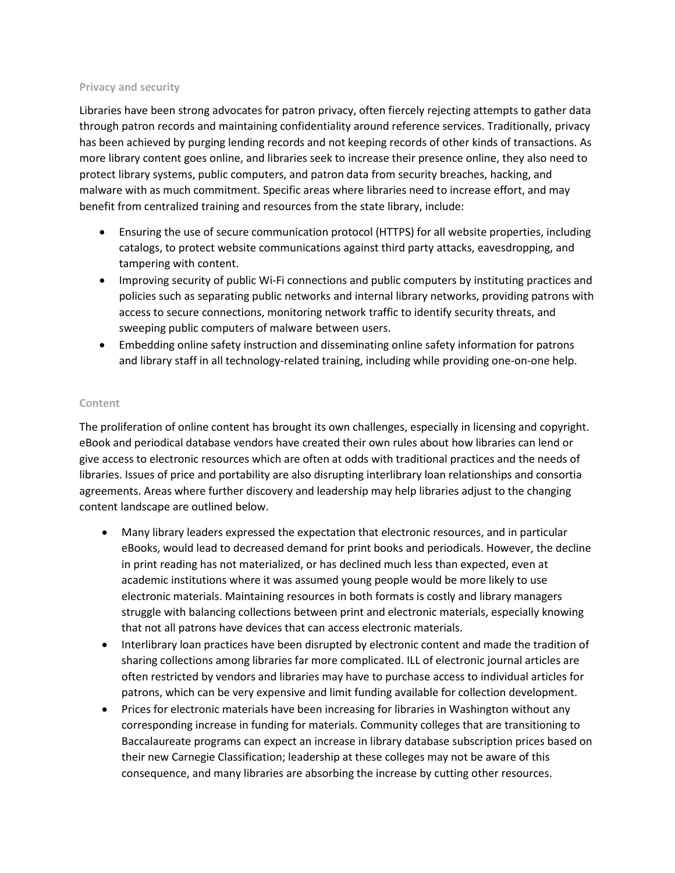#### **Privacy and security**

Libraries have been strong advocates for patron privacy, often fiercely rejecting attempts to gather data through patron records and maintaining confidentiality around reference services. Traditionally, privacy has been achieved by purging lending records and not keeping records of other kinds of transactions. As more library content goes online, and libraries seek to increase their presence online, they also need to protect library systems, public computers, and patron data from security breaches, hacking, and malware with as much commitment. Specific areas where libraries need to increase effort, and may benefit from centralized training and resources from the state library, include:

- Ensuring the use of secure communication protocol (HTTPS) for all website properties, including catalogs, to protect website communications against third party attacks, eavesdropping, and tampering with content.
- Improving security of public Wi-Fi connections and public computers by instituting practices and policies such as separating public networks and internal library networks, providing patrons with access to secure connections, monitoring network traffic to identify security threats, and sweeping public computers of malware between users.
- Embedding online safety instruction and disseminating online safety information for patrons and library staff in all technology-related training, including while providing one-on-one help.

### **Content**

The proliferation of online content has brought its own challenges, especially in licensing and copyright. eBook and periodical database vendors have created their own rules about how libraries can lend or give access to electronic resources which are often at odds with traditional practices and the needs of libraries. Issues of price and portability are also disrupting interlibrary loan relationships and consortia agreements. Areas where further discovery and leadership may help libraries adjust to the changing content landscape are outlined below.

- Many library leaders expressed the expectation that electronic resources, and in particular eBooks, would lead to decreased demand for print books and periodicals. However, the decline in print reading has not materialized, or has declined much less than expected, even at academic institutions where it was assumed young people would be more likely to use electronic materials. Maintaining resources in both formats is costly and library managers struggle with balancing collections between print and electronic materials, especially knowing that not all patrons have devices that can access electronic materials.
- Interlibrary loan practices have been disrupted by electronic content and made the tradition of sharing collections among libraries far more complicated. ILL of electronic journal articles are often restricted by vendors and libraries may have to purchase access to individual articles for patrons, which can be very expensive and limit funding available for collection development.
- Prices for electronic materials have been increasing for libraries in Washington without any corresponding increase in funding for materials. Community colleges that are transitioning to Baccalaureate programs can expect an increase in library database subscription prices based on their new Carnegie Classification; leadership at these colleges may not be aware of this consequence, and many libraries are absorbing the increase by cutting other resources.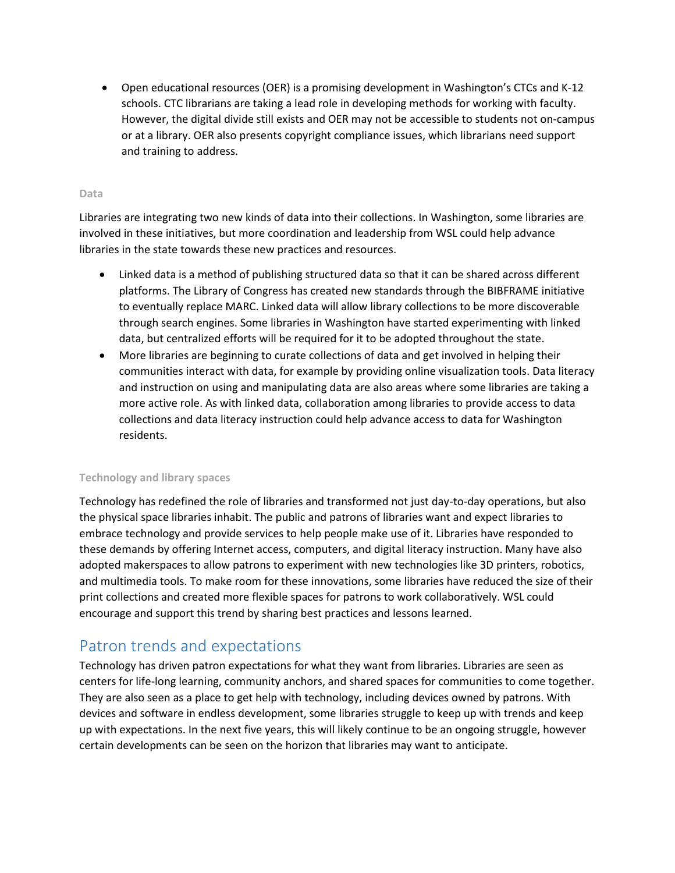Open educational resources (OER) is a promising development in Washington's CTCs and K-12 schools. CTC librarians are taking a lead role in developing methods for working with faculty. However, the digital divide still exists and OER may not be accessible to students not on-campus or at a library. OER also presents copyright compliance issues, which librarians need support and training to address.

### **Data**

Libraries are integrating two new kinds of data into their collections. In Washington, some libraries are involved in these initiatives, but more coordination and leadership from WSL could help advance libraries in the state towards these new practices and resources.

- Linked data is a method of publishing structured data so that it can be shared across different platforms. The Library of Congress has created new standards through the BIBFRAME initiative to eventually replace MARC. Linked data will allow library collections to be more discoverable through search engines. Some libraries in Washington have started experimenting with linked data, but centralized efforts will be required for it to be adopted throughout the state.
- More libraries are beginning to curate collections of data and get involved in helping their communities interact with data, for example by providing online visualization tools. Data literacy and instruction on using and manipulating data are also areas where some libraries are taking a more active role. As with linked data, collaboration among libraries to provide access to data collections and data literacy instruction could help advance access to data for Washington residents.

### **Technology and library spaces**

Technology has redefined the role of libraries and transformed not just day-to-day operations, but also the physical space libraries inhabit. The public and patrons of libraries want and expect libraries to embrace technology and provide services to help people make use of it. Libraries have responded to these demands by offering Internet access, computers, and digital literacy instruction. Many have also adopted makerspaces to allow patrons to experiment with new technologies like 3D printers, robotics, and multimedia tools. To make room for these innovations, some libraries have reduced the size of their print collections and created more flexible spaces for patrons to work collaboratively. WSL could encourage and support this trend by sharing best practices and lessons learned.

## Patron trends and expectations

Technology has driven patron expectations for what they want from libraries. Libraries are seen as centers for life-long learning, community anchors, and shared spaces for communities to come together. They are also seen as a place to get help with technology, including devices owned by patrons. With devices and software in endless development, some libraries struggle to keep up with trends and keep up with expectations. In the next five years, this will likely continue to be an ongoing struggle, however certain developments can be seen on the horizon that libraries may want to anticipate.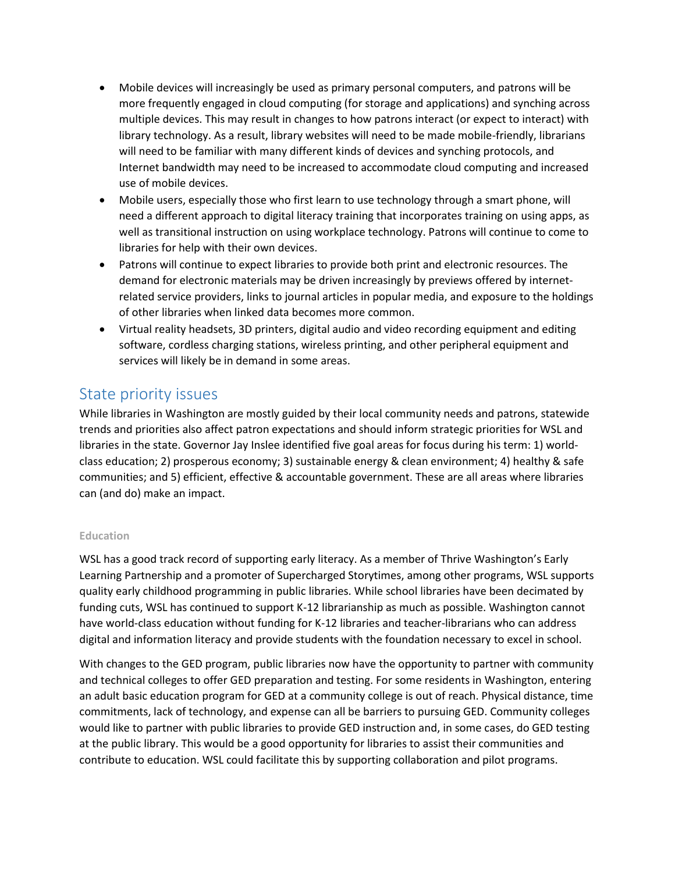- Mobile devices will increasingly be used as primary personal computers, and patrons will be more frequently engaged in cloud computing (for storage and applications) and synching across multiple devices. This may result in changes to how patrons interact (or expect to interact) with library technology. As a result, library websites will need to be made mobile-friendly, librarians will need to be familiar with many different kinds of devices and synching protocols, and Internet bandwidth may need to be increased to accommodate cloud computing and increased use of mobile devices.
- Mobile users, especially those who first learn to use technology through a smart phone, will need a different approach to digital literacy training that incorporates training on using apps, as well as transitional instruction on using workplace technology. Patrons will continue to come to libraries for help with their own devices.
- Patrons will continue to expect libraries to provide both print and electronic resources. The demand for electronic materials may be driven increasingly by previews offered by internetrelated service providers, links to journal articles in popular media, and exposure to the holdings of other libraries when linked data becomes more common.
- Virtual reality headsets, 3D printers, digital audio and video recording equipment and editing software, cordless charging stations, wireless printing, and other peripheral equipment and services will likely be in demand in some areas.

### State priority issues

While libraries in Washington are mostly guided by their local community needs and patrons, statewide trends and priorities also affect patron expectations and should inform strategic priorities for WSL and libraries in the state. Governor Jay Inslee identified five goal areas for focus during his term: 1) worldclass education; 2) prosperous economy; 3) sustainable energy & clean environment; 4) healthy & safe communities; and 5) efficient, effective & accountable government. These are all areas where libraries can (and do) make an impact.

### **Education**

WSL has a good track record of supporting early literacy. As a member of Thrive Washington's Early Learning Partnership and a promoter of Supercharged Storytimes, among other programs, WSL supports quality early childhood programming in public libraries. While school libraries have been decimated by funding cuts, WSL has continued to support K-12 librarianship as much as possible. Washington cannot have world-class education without funding for K-12 libraries and teacher-librarians who can address digital and information literacy and provide students with the foundation necessary to excel in school.

With changes to the GED program, public libraries now have the opportunity to partner with community and technical colleges to offer GED preparation and testing. For some residents in Washington, entering an adult basic education program for GED at a community college is out of reach. Physical distance, time commitments, lack of technology, and expense can all be barriers to pursuing GED. Community colleges would like to partner with public libraries to provide GED instruction and, in some cases, do GED testing at the public library. This would be a good opportunity for libraries to assist their communities and contribute to education. WSL could facilitate this by supporting collaboration and pilot programs.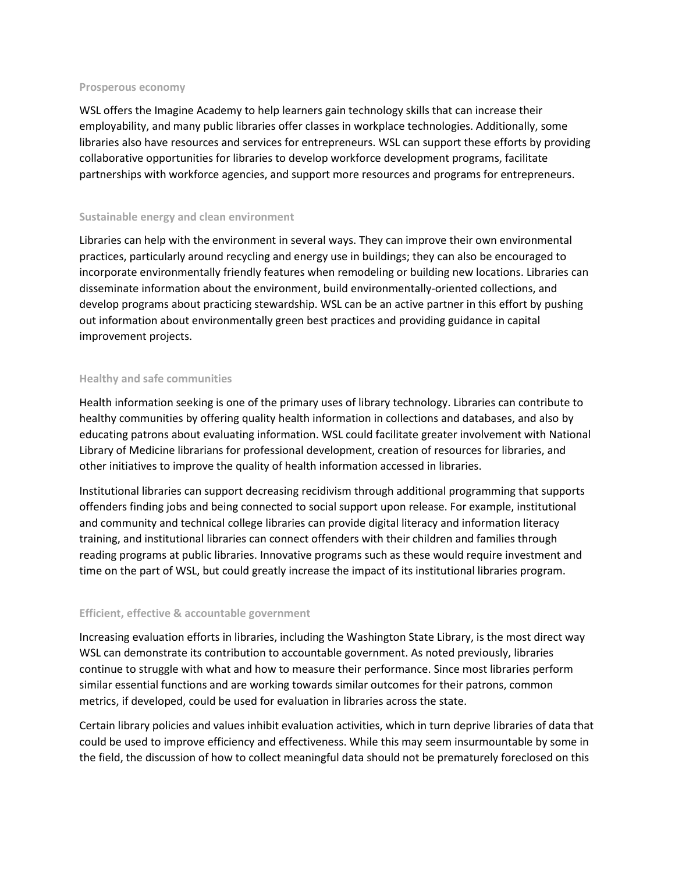#### **Prosperous economy**

WSL offers the Imagine Academy to help learners gain technology skills that can increase their employability, and many public libraries offer classes in workplace technologies. Additionally, some libraries also have resources and services for entrepreneurs. WSL can support these efforts by providing collaborative opportunities for libraries to develop workforce development programs, facilitate partnerships with workforce agencies, and support more resources and programs for entrepreneurs.

#### **Sustainable energy and clean environment**

Libraries can help with the environment in several ways. They can improve their own environmental practices, particularly around recycling and energy use in buildings; they can also be encouraged to incorporate environmentally friendly features when remodeling or building new locations. Libraries can disseminate information about the environment, build environmentally-oriented collections, and develop programs about practicing stewardship. WSL can be an active partner in this effort by pushing out information about environmentally green best practices and providing guidance in capital improvement projects.

#### **Healthy and safe communities**

Health information seeking is one of the primary uses of library technology. Libraries can contribute to healthy communities by offering quality health information in collections and databases, and also by educating patrons about evaluating information. WSL could facilitate greater involvement with National Library of Medicine librarians for professional development, creation of resources for libraries, and other initiatives to improve the quality of health information accessed in libraries.

Institutional libraries can support decreasing recidivism through additional programming that supports offenders finding jobs and being connected to social support upon release. For example, institutional and community and technical college libraries can provide digital literacy and information literacy training, and institutional libraries can connect offenders with their children and families through reading programs at public libraries. Innovative programs such as these would require investment and time on the part of WSL, but could greatly increase the impact of its institutional libraries program.

### **Efficient, effective & accountable government**

Increasing evaluation efforts in libraries, including the Washington State Library, is the most direct way WSL can demonstrate its contribution to accountable government. As noted previously, libraries continue to struggle with what and how to measure their performance. Since most libraries perform similar essential functions and are working towards similar outcomes for their patrons, common metrics, if developed, could be used for evaluation in libraries across the state.

Certain library policies and values inhibit evaluation activities, which in turn deprive libraries of data that could be used to improve efficiency and effectiveness. While this may seem insurmountable by some in the field, the discussion of how to collect meaningful data should not be prematurely foreclosed on this